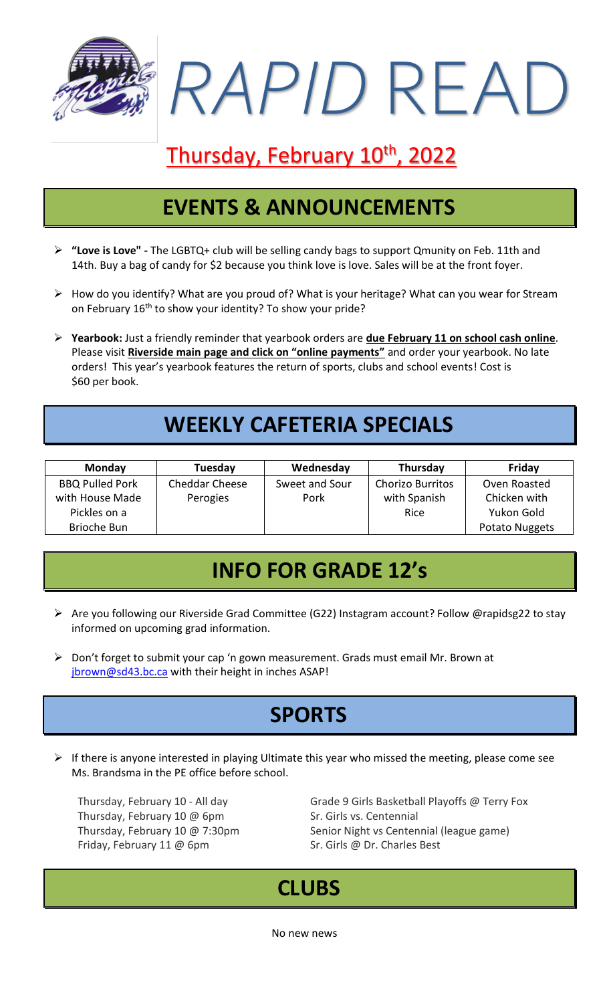*RAPID* READ

# Thursday, February 10<sup>th</sup>, 2022

#### **EVENTS & ANNOUNCEMENTS**

- ➢ **"Love is Love" -** The LGBTQ+ club will be selling candy bags to support Qmunity on Feb. 11th and 14th. Buy a bag of candy for \$2 because you think love is love. Sales will be at the front foyer.
- $\triangleright$  How do you identify? What are you proud of? What is your heritage? What can you wear for Stream on February 16<sup>th</sup> to show your identity? To show your pride?
- ➢ **Yearbook:** Just a friendly reminder that yearbook orders are **due February 11 on school cash online**. Please visit **Riverside main page and click on "online payments"** and order your yearbook. No late orders! This year's yearbook features the return of sports, clubs and school events! Cost is \$60 per book.

### **WEEKLY CAFETERIA SPECIALS**

| <b>Monday</b>          | Tuesday               | Wednesday      | Thursday                | Friday         |
|------------------------|-----------------------|----------------|-------------------------|----------------|
| <b>BBQ Pulled Pork</b> | <b>Cheddar Cheese</b> | Sweet and Sour | <b>Chorizo Burritos</b> | Oven Roasted   |
| with House Made        | Perogies              | Pork           | with Spanish            | Chicken with   |
| Pickles on a           |                       |                | Rice                    | Yukon Gold     |
| Brioche Bun            |                       |                |                         | Potato Nuggets |

#### **INFO FOR GRADE 12's**

- ➢ Are you following our Riverside Grad Committee (G22) Instagram account? Follow @rapidsg22 to stay informed on upcoming grad information.
- ➢ Don't forget to submit your cap 'n gown measurement. Grads must email Mr. Brown at [jbrown@sd43.bc.ca](mailto:jbrown@sd43.bc.ca) with their height in inches ASAP!

## **SPORTS**

 $\triangleright$  If there is anyone interested in playing Ultimate this year who missed the meeting, please come see Ms. Brandsma in the PE office before school.

Thursday, February 10 @ 6pm Sr. Girls vs. Centennial Friday, February 11 @ 6pm Sr. Girls @ Dr. Charles Best

Thursday, February 10 - All day Grade 9 Girls Basketball Playoffs @ Terry Fox Thursday, February 10 @ 7:30pm Senior Night vs Centennial (league game)

#### **CLUBS**

No new news